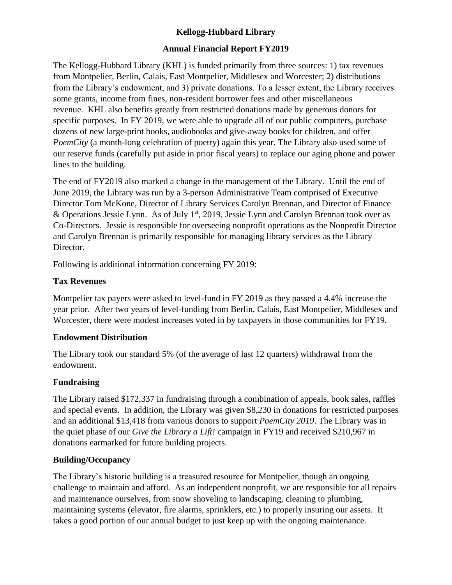# **Kellogg-Hubbard Library**

### **Annual Financial Report FY2019**

The Kellogg-Hubbard Library (KHL) is funded primarily from three sources: 1) tax revenues from Montpelier, Berlin, Calais, East Montpelier, Middlesex and Worcester; 2) distributions from the Library's endowment, and 3) private donations. To a lesser extent, the Library receives some grants, income from fines, non-resident borrower fees and other miscellaneous revenue. KHL also benefits greatly from restricted donations made by generous donors for specific purposes. In FY 2019, we were able to upgrade all of our public computers, purchase dozens of new large-print books, audiobooks and give-away books for children, and offer *PoemCity* (a month-long celebration of poetry) again this year. The Library also used some of our reserve funds (carefully put aside in prior fiscal years) to replace our aging phone and power lines to the building.

The end of FY2019 also marked a change in the management of the Library. Until the end of June 2019, the Library was run by a 3-person Administrative Team comprised of Executive Director Tom McKone, Director of Library Services Carolyn Brennan, and Director of Finance & Operations Jessie Lynn. As of July  $1<sup>st</sup>$ , 2019, Jessie Lynn and Carolyn Brennan took over as Co-Directors. Jessie is responsible for overseeing nonprofit operations as the Nonprofit Director and Carolyn Brennan is primarily responsible for managing library services as the Library Director.

Following is additional information concerning FY 2019:

#### **Tax Revenues**

Montpelier tax payers were asked to level-fund in FY 2019 as they passed a 4.4% increase the year prior. After two years of level-funding from Berlin, Calais, East Montpelier, Middlesex and Worcester, there were modest increases voted in by taxpayers in those communities for FY19.

## **Endowment Distribution**

The Library took our standard 5% (of the average of last 12 quarters) withdrawal from the endowment.

## **Fundraising**

The Library raised \$172,337 in fundraising through a combination of appeals, book sales, raffles and special events. In addition, the Library was given \$8,230 in donations for restricted purposes and an additional \$13,418 from various donors to support *PoemCity 2019*. The Library was in the quiet phase of our *Give the Library a Lift!* campaign in FY19 and received \$210,967 in donations earmarked for future building projects.

## **Building/Occupancy**

The Library's historic building is a treasured resource for Montpelier, though an ongoing challenge to maintain and afford. As an independent nonprofit, we are responsible for all repairs and maintenance ourselves, from snow shoveling to landscaping, cleaning to plumbing, maintaining systems (elevator, fire alarms, sprinklers, etc.) to properly insuring our assets. It takes a good portion of our annual budget to just keep up with the ongoing maintenance.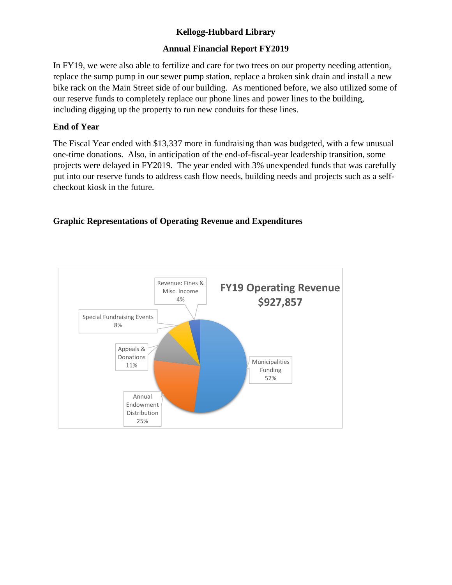# **Kellogg-Hubbard Library**

### **Annual Financial Report FY2019**

In FY19, we were also able to fertilize and care for two trees on our property needing attention, replace the sump pump in our sewer pump station, replace a broken sink drain and install a new bike rack on the Main Street side of our building. As mentioned before, we also utilized some of our reserve funds to completely replace our phone lines and power lines to the building, including digging up the property to run new conduits for these lines.

### **End of Year**

The Fiscal Year ended with \$13,337 more in fundraising than was budgeted, with a few unusual one-time donations. Also, in anticipation of the end-of-fiscal-year leadership transition, some projects were delayed in FY2019. The year ended with 3% unexpended funds that was carefully put into our reserve funds to address cash flow needs, building needs and projects such as a selfcheckout kiosk in the future.

## **Graphic Representations of Operating Revenue and Expenditures**